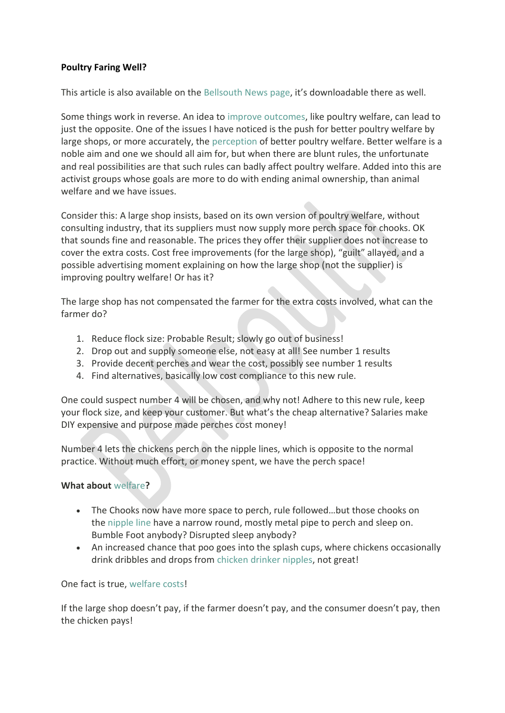## **Poultry Faring Well?**

This article is also available on the [Bellsouth News](http://www.bellsouth.com.au/index.php/news/) page, it's downloadable there as well.

Some things work in reverse. An idea to [improve outcomes,](http://www.poultryhub.org/production/industry-structure-and-organisations/) like poultry welfare, can lead to just the opposite. One of the issues I have noticed is the push for better poultry welfare by large shops, or more accurately, the [perception](https://www.poultryworld.net/Home/General/2018/6/Striving-to-improve-poultry-farmings-image-297933E/) of better poultry welfare. Better welfare is a noble aim and one we should all aim for, but when there are blunt rules, the unfortunate and real possibilities are that such rules can badly affect poultry welfare. Added into this are activist groups whose goals are more to do with ending animal ownership, than animal welfare and we have issues.

Consider this: A large shop insists, based on its own version of poultry welfare, without consulting industry, that its suppliers must now supply more perch space for chooks. OK that sounds fine and reasonable. The prices they offer their supplier does not increase to cover the extra costs. Cost free improvements (for the large shop), "guilt" allayed, and a possible advertising moment explaining on how the large shop (not the supplier) is improving poultry welfare! Or has it?

The large shop has not compensated the farmer for the extra costs involved, what can the farmer do?

- 1. Reduce flock size: Probable Result; slowly go out of business!
- 2. Drop out and supply someone else, not easy at all! See number 1 results
- 3. Provide decent perches and wear the cost, possibly see number 1 results
- 4. Find alternatives, basically low cost compliance to this new rule.

One could suspect number 4 will be chosen, and why not! Adhere to this new rule, keep your flock size, and keep your customer. But what's the cheap alternative? Salaries make DIY expensive and purpose made perches cost money!

Number 4 lets the chickens perch on the nipple lines, which is opposite to the normal practice. Without much effort, or money spent, we have the perch space!

## **What about** [welfare](https://zootecnicainternational.com/featured/common-global-poultry-welfare-practices/)**?**

- The Chooks now have more space to perch, rule followed…but those chooks on the [nipple line](https://www.cloudshops.com.au/epages/ecshared01.admin/sec38f474233e/?ObjectPath=/Shops/bellsouth/Products/BEDNAK) have a narrow round, mostly metal pipe to perch and sleep on. Bumble Foot anybody? Disrupted sleep anybody?
- An increased chance that poo goes into the splash cups, where chickens occasionally drink dribbles and drops from [chicken drinker nipples,](http://eshop.bellsouth.com.au/Chicken-nipple-drinkers) not great!

One fact is true, [welfare costs!](http://www.poultryhub.org/production/husbandry-management/welfare/auditing-animal-welfare/)

If the large shop doesn't pay, if the farmer doesn't pay, and the consumer doesn't pay, then the chicken pays!